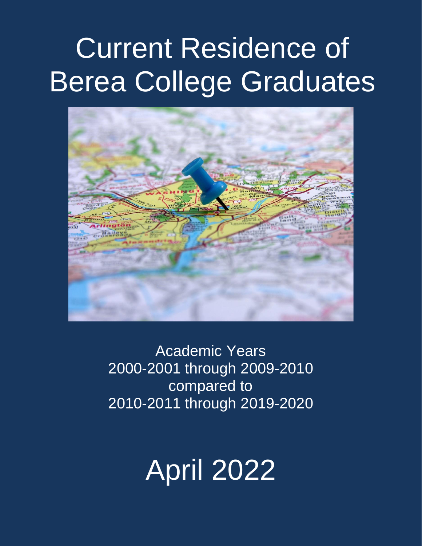# Current Residence of Berea College Graduates



Academic Years 2000-2001 through 2009-2010 compared to 2010-2011 through 2019-2020

# April 2022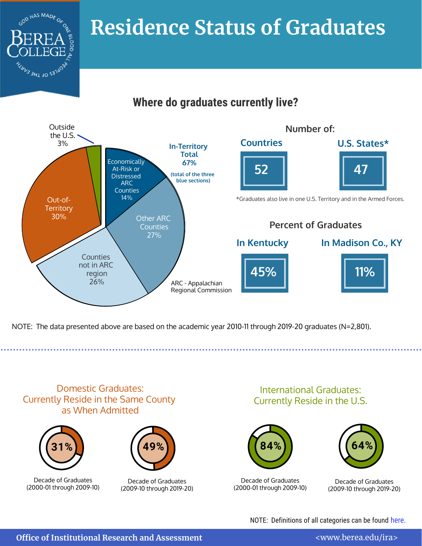

# **Where do graduates currently live?**



NOTE: The data presented above are based on the academic year 2010-11 through 2019-20 graduates (N=2,801).

Domestic Graduates: Currently Reside in the Same County as When Admitted



COD HAS MADE OF

3HT <sup>40</sup> 2<sub>3.</sub>



Decade of Graduates (2000-01 through 2009-10)

Decade of Graduates (2009-10 through 2019-20)

International Graduates: Currently Reside in the U.S.





Decade of Graduates (2000-01 through 2009-10)

Decade of Graduates (2009-10 through 2019-20)

NOTE: Definitions of all categories can be found [here.](https://www.berea.edu/ira/wp-content/uploads/sites/27/2021/10/DefinitionsAndDescriptions-1.pdf)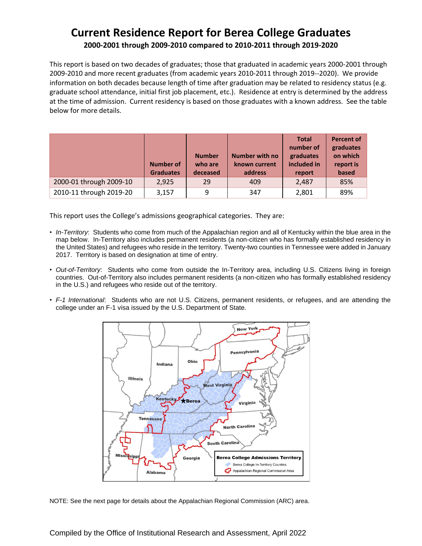#### **Current Residence Report for Berea College Graduates 2000-2001 through 2009-2010 compared to 2010-2011 through 2019-2020**

This report is based on two decades of graduates; those that graduated in academic years 2000-2001 through 2009-2010 and more recent graduates (from academic years 2010-2011 through 2019--2020). We provide information on both decades because length of time after graduation may be related to residency status (e.g. graduate school attendance, initial first job placement, etc.). Residence at entry is determined by the address at the time of admission. Current residency is based on those graduates with a known address. See the table below for more details.

|                         | Number of<br><b>Graduates</b> | <b>Number</b><br>who are<br>deceased | Number with no<br>known current<br>address | <b>Total</b><br>number of<br>graduates<br>included in<br>report | <b>Percent of</b><br>graduates<br>on which<br>report is<br>based |
|-------------------------|-------------------------------|--------------------------------------|--------------------------------------------|-----------------------------------------------------------------|------------------------------------------------------------------|
| 2000-01 through 2009-10 | 2.925                         | 29                                   | 409                                        | 2,487                                                           | 85%                                                              |
| 2010-11 through 2019-20 | 3,157                         | 9                                    | 347                                        | 2,801                                                           | 89%                                                              |

This report uses the College's admissions geographical categories. They are:

- *In-Territory*: Students who come from much of the Appalachian region and all of Kentucky within the blue area in the map below. In-Territory also includes permanent residents (a non-citizen who has formally established residency in the United States) and refugees who reside in the territory. Twenty-two counties in Tennessee were added in January 2017. Territory is based on designation at time of entry.
- *Out-of-Territory*: Students who come from outside the In-Territory area, including U.S. Citizens living in foreign countries. Out-of-Territory also includes permanent residents (a non-citizen who has formally established residency in the U.S.) and refugees who reside out of the territory.
- *F-1 International*: Students who are not U.S. Citizens, permanent residents, or refugees, and are attending the college under an F-1 visa issued by the U.S. Department of State.



NOTE: See the next page for details about the Appalachian Regional Commission (ARC) area.

Compiled by the Office of Institutional Research and Assessment, April 2022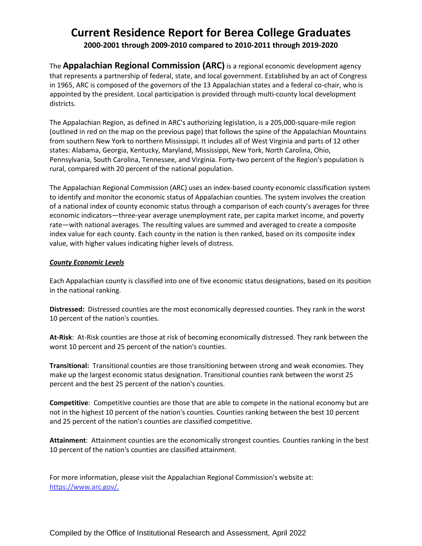#### **Current Residence Report for Berea College Graduates 2000-2001 through 2009-2010 compared to 2010-2011 through 2019-2020**

The **Appalachian Regional Commission (ARC)** is a regional economic development agency that represents a partnership of federal, state, and local government. Established by an act of Congress in 1965, ARC is composed of the governors of the 13 Appalachian states and a federal co-chair, who is appointed by the president. Local participation is provided through multi-county local development districts.

The Appalachian Region, as defined in ARC's authorizing legislation, is a 205,000-square-mile region (outlined in red on the map on the previous page) that follows the spine of the Appalachian Mountains from southern New York to northern Mississippi. It includes all of West Virginia and parts of 12 other states: Alabama, Georgia, Kentucky, Maryland, Mississippi, New York, North Carolina, Ohio, Pennsylvania, South Carolina, Tennessee, and Virginia. Forty-two percent of the Region's population is rural, compared with 20 percent of the national population.

The Appalachian Regional Commission (ARC) uses an index-based county economic classification system to identify and monitor the economic status of Appalachian counties. The system involves the creation of a national index of county economic status through a comparison of each county's averages for three economic indicators—three-year average unemployment rate, per capita market income, and poverty rate—with national averages. The resulting values are summed and averaged to create a composite index value for each county. Each county in the nation is then ranked, based on its composite index value, with higher values indicating higher levels of distress.

#### *County Economic Levels*

Each Appalachian county is classified into one of five economic status designations, based on its position in the national ranking.

**Distressed:** Distressed counties are the most economically depressed counties. They rank in the worst 10 percent of the nation's counties.

**At-Risk**: At-Risk counties are those at risk of becoming economically distressed. They rank between the worst 10 percent and 25 percent of the nation's counties.

**Transitional:** Transitional counties are those transitioning between strong and weak economies. They make up the largest economic status designation. Transitional counties rank between the worst 25 percent and the best 25 percent of the nation's counties.

**Competitive**: Competitive counties are those that are able to compete in the national economy but are not in the highest 10 percent of the nation's counties. Counties ranking between the best 10 percent and 25 percent of the nation's counties are classified competitive.

**Attainment**: Attainment counties are the economically strongest counties. Counties ranking in the best 10 percent of the nation's counties are classified attainment.

For more information, please visit the Appalachian Regional Commission's website at: [https://www.arc.gov/.](https://www.arc.gov/)

Compiled by the Office of Institutional Research and Assessment, April 2022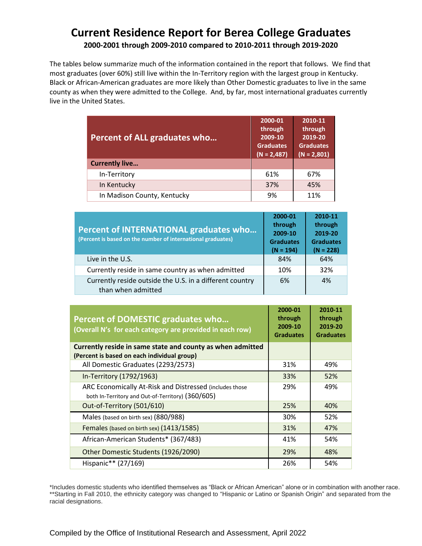#### **Current Residence Report for Berea College Graduates 2000-2001 through 2009-2010 compared to 2010-2011 through 2019-2020**

The tables below summarize much of the information contained in the report that follows. We find that most graduates (over 60%) still live within the In-Territory region with the largest group in Kentucky. Black or African-American graduates are more likely than Other Domestic graduates to live in the same county as when they were admitted to the College. And, by far, most international graduates currently live in the United States.

| Percent of ALL graduates who | 2000-01<br>through<br>2009-10<br><b>Graduates</b><br>$(N = 2,487)$ | 2010-11<br>through<br>2019-20<br><b>Graduates</b><br>$(N = 2,801)$ |
|------------------------------|--------------------------------------------------------------------|--------------------------------------------------------------------|
| <b>Currently live</b>        |                                                                    |                                                                    |
| In-Territory                 | 61%                                                                | 67%                                                                |
| In Kentucky                  | 37%                                                                | 45%                                                                |
| In Madison County, Kentucky  | 9%                                                                 | 11%                                                                |

| <b>Percent of INTERNATIONAL graduates who</b><br>(Percent is based on the number of international graduates) | 2000-01<br>through<br>2009-10<br><b>Graduates</b><br>$(N = 194)$ | 2010-11<br>through<br>2019-20<br><b>Graduates</b><br>$(N = 228)$ |
|--------------------------------------------------------------------------------------------------------------|------------------------------------------------------------------|------------------------------------------------------------------|
| Live in the U.S.                                                                                             | 84%                                                              | 64%                                                              |
| Currently reside in same country as when admitted                                                            | 10%                                                              | 32%                                                              |
| Currently reside outside the U.S. in a different country<br>than when admitted                               | 6%                                                               | 4%                                                               |

| <b>Percent of DOMESTIC graduates who</b><br>(Overall N's for each category are provided in each row) | 2000-01<br>through<br>2009-10<br><b>Graduates</b> | 2010-11<br>through<br>2019-20<br><b>Graduates</b> |
|------------------------------------------------------------------------------------------------------|---------------------------------------------------|---------------------------------------------------|
| Currently reside in same state and county as when admitted                                           |                                                   |                                                   |
| (Percent is based on each individual group)<br>All Domestic Graduates (2293/2573)                    | 31%                                               | 49%                                               |
|                                                                                                      |                                                   |                                                   |
| In-Territory (1792/1963)                                                                             | 33%                                               | 52%                                               |
| ARC Economically At-Risk and Distressed (includes those                                              | 29%                                               | 49%                                               |
| both In-Territory and Out-of-Territory) (360/605)                                                    |                                                   |                                                   |
| Out-of-Territory (501/610)                                                                           | 25%                                               | 40%                                               |
| Males (based on birth sex) (880/988)                                                                 | 30%                                               | 52%                                               |
| Females (based on birth sex) (1413/1585)                                                             | 31%                                               | 47%                                               |
| African-American Students* (367/483)                                                                 | 41%                                               | 54%                                               |
| Other Domestic Students (1926/2090)                                                                  | 29%                                               | 48%                                               |
| Hispanic** (27/169)                                                                                  | 26%                                               | 54%                                               |

\*Includes domestic students who identified themselves as "Black or African American" alone or in combination with another race. \*\*Starting in Fall 2010, the ethnicity category was changed to "Hispanic or Latino or Spanish Origin" and separated from the racial designations.

Compiled by the Office of Institutional Research and Assessment, April 2022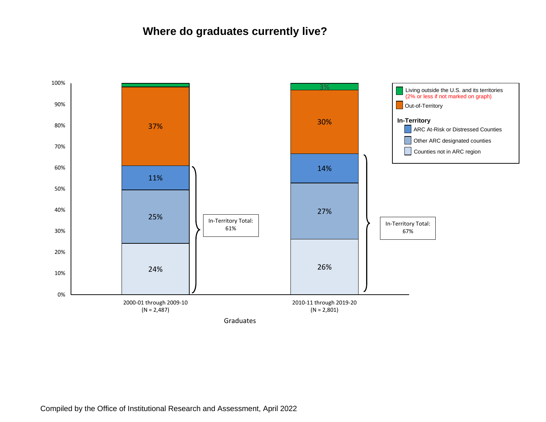# **Where do graduates currently live?**

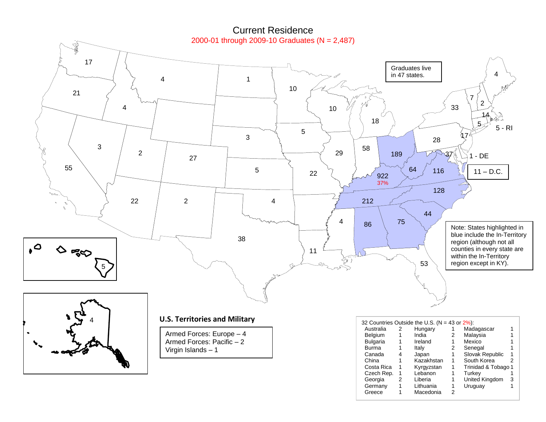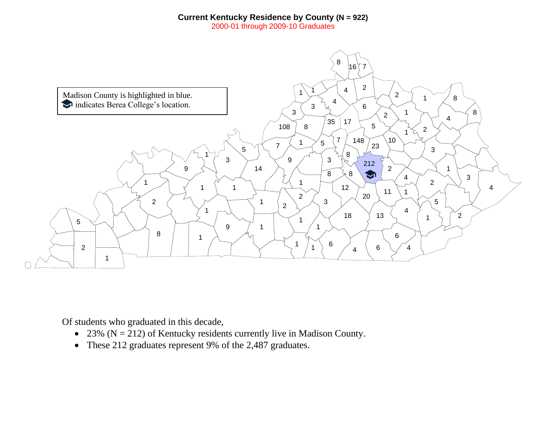#### **Current Kentucky Residence by County (N = 922)**

2000-01 through 2009-10 Graduates



Of students who graduated in this decade,

- 23% ( $N = 212$ ) of Kentucky residents currently live in Madison County.
- These 212 graduates represent 9% of the 2,487 graduates.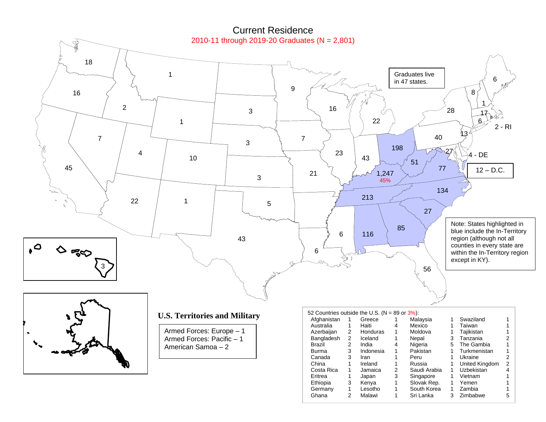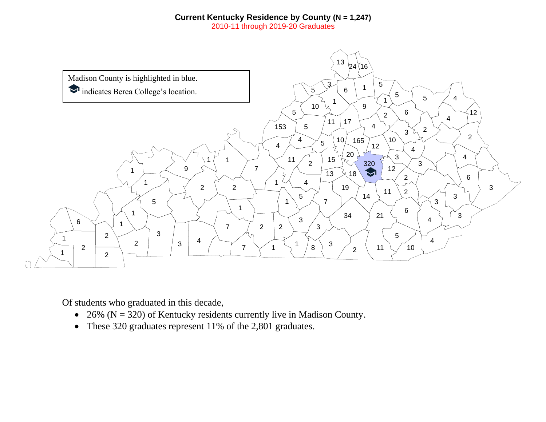#### **Current Kentucky Residence by County (N = 1,247)**

2010-11 through 2019-20 Graduates



Of students who graduated in this decade,

- 26% ( $N = 320$ ) of Kentucky residents currently live in Madison County.
- These 320 graduates represent 11% of the 2,801 graduates.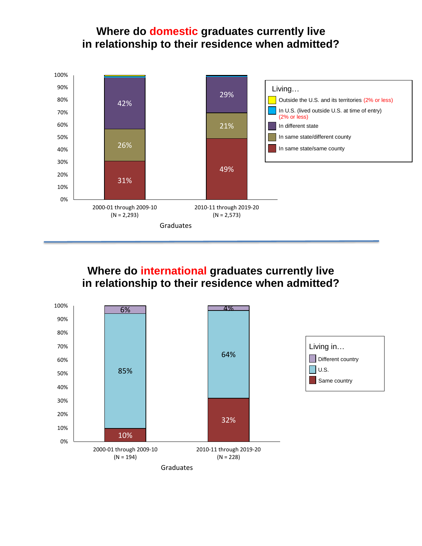# **Where do domestic graduates currently live in relationship to their residence when admitted?**



# **Where do international graduates currently live in relationship to their residence when admitted?**

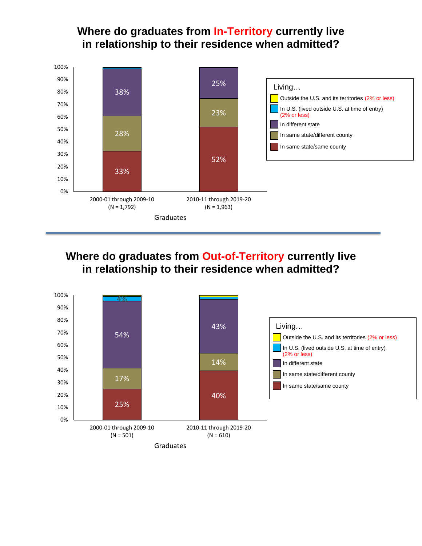# **Where do graduates from In-Territory currently live in relationship to their residence when admitted?**



# **Where do graduates from Out-of-Territory currently live in relationship to their residence when admitted?**

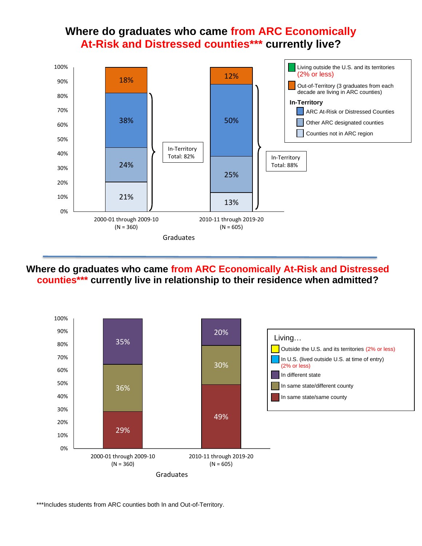## **Where do graduates who came from ARC Economically At-Risk and Distressed counties\*\*\* currently live?**



**Where do graduates who came from ARC Economically At-Risk and Distressed counties\*\*\* currently live in relationship to their residence when admitted?**



\*\*\*Includes students from ARC counties both In and Out-of-Territory.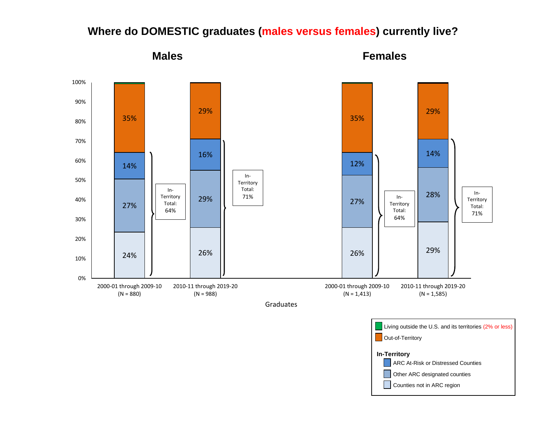

# **Where do DOMESTIC graduates (males versus females) currently live?**

**Males Females**

Counties not in ARC region

**In-Territory**

Other ARC designated counties **ARC At-Risk or Distressed Counties**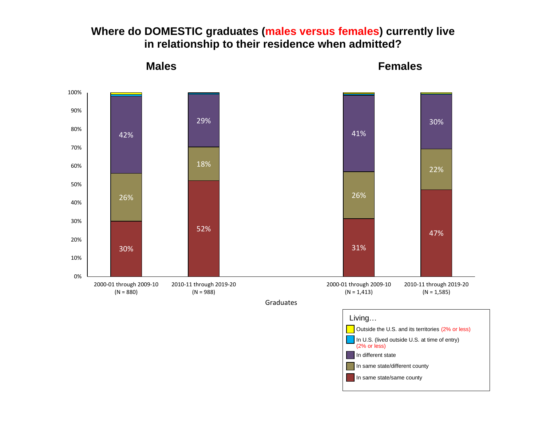





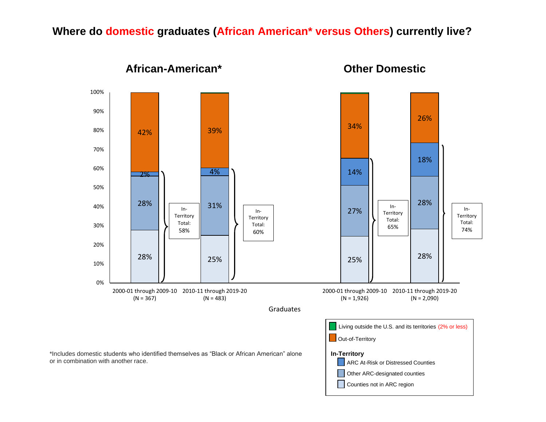### **Where do domestic graduates (African American\* versus Others) currently live?**



#### **African-American\* Other Domestic**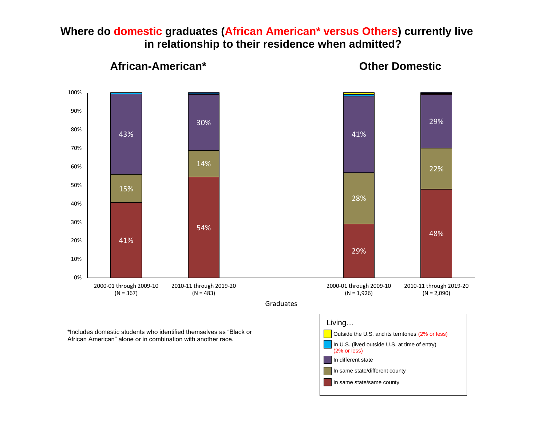### **Where do domestic graduates (African American\* versus Others) currently live in relationship to their residence when admitted?**



**African-American\* Other Domestic**

In same state/same county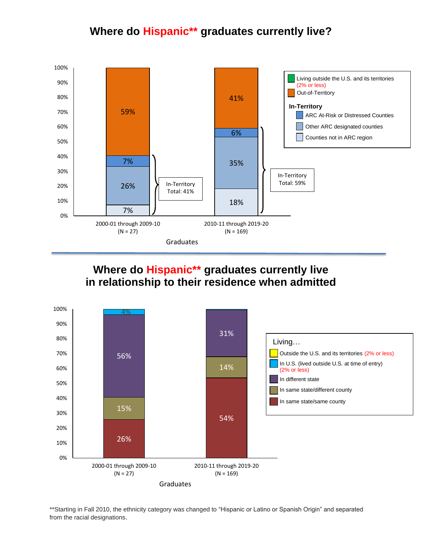# **Where do Hispanic\*\* graduates currently live?**



# **Where do Hispanic\*\* graduates currently live in relationship to their residence when admitted**



\*\*Starting in Fall 2010, the ethnicity category was changed to "Hispanic or Latino or Spanish Origin" and separated from the racial designations.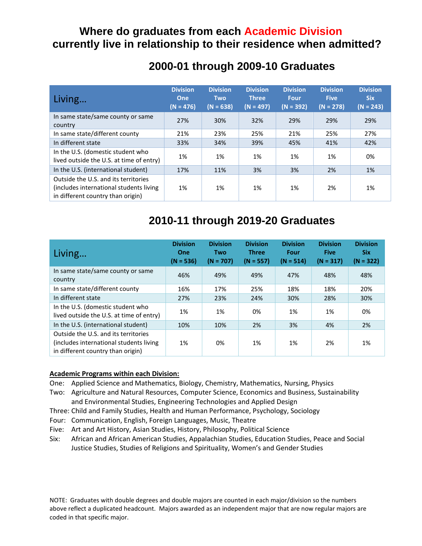# **Where do graduates from each Academic Division currently live in relationship to their residence when admitted?**

## **2000-01 through 2009-10 Graduates**

| Living                                                                                                               | <b>Division</b><br>One<br>$(N = 476)$ | <b>Division</b><br><b>Two</b><br>$(N = 638)$ | <b>Division</b><br><b>Three</b><br>$(N = 497)$ | <b>Division</b><br><b>Four</b><br>$(N = 392)$ | <b>Division</b><br><b>Five</b><br>$(N = 278)$ | <b>Division</b><br><b>Six</b><br>$(N = 243)$ |
|----------------------------------------------------------------------------------------------------------------------|---------------------------------------|----------------------------------------------|------------------------------------------------|-----------------------------------------------|-----------------------------------------------|----------------------------------------------|
| In same state/same county or same<br>country                                                                         | 27%                                   | 30%                                          | 32%                                            | 29%                                           | 29%                                           | 29%                                          |
| In same state/different county                                                                                       | 21%                                   | 23%                                          | 25%                                            | 21%                                           | 25%                                           | 27%                                          |
| In different state                                                                                                   | 33%                                   | 34%                                          | 39%                                            | 45%                                           | 41%                                           | 42%                                          |
| In the U.S. (domestic student who<br>lived outside the U.S. at time of entry)                                        | 1%                                    | 1%                                           | 1%                                             | 1%                                            | 1%                                            | 0%                                           |
| In the U.S. (international student)                                                                                  | 17%                                   | 11%                                          | 3%                                             | 3%                                            | 2%                                            | 1%                                           |
| Outside the U.S. and its territories<br>(includes international students living<br>in different country than origin) | 1%                                    | 1%                                           | 1%                                             | 1%                                            | 2%                                            | 1%                                           |

# **2010-11 through 2019-20 Graduates**

| Living                                                                                                               | <b>Division</b><br>One<br>$(N = 536)$ | <b>Division</b><br>Two<br>$(N = 707)$ | <b>Division</b><br><b>Three</b><br>$(N = 557)$ | <b>Division</b><br>Four<br>$(N = 514)$ | <b>Division</b><br><b>Five</b><br>$(N = 317)$ | <b>Division</b><br><b>Six</b><br>$(N = 322)$ |
|----------------------------------------------------------------------------------------------------------------------|---------------------------------------|---------------------------------------|------------------------------------------------|----------------------------------------|-----------------------------------------------|----------------------------------------------|
| In same state/same county or same<br>country                                                                         | 46%                                   | 49%                                   | 49%                                            | 47%                                    | 48%                                           | 48%                                          |
| In same state/different county                                                                                       | 16%                                   | 17%                                   | 25%                                            | 18%                                    | 18%                                           | 20%                                          |
| In different state                                                                                                   | 27%                                   | 23%                                   | 24%                                            | 30%                                    | 28%                                           | 30%                                          |
| In the U.S. (domestic student who<br>lived outside the U.S. at time of entry)                                        | 1%                                    | 1%                                    | 0%                                             | 1%                                     | 1%                                            | 0%                                           |
| In the U.S. (international student)                                                                                  | 10%                                   | 10%                                   | 2%                                             | 3%                                     | 4%                                            | 2%                                           |
| Outside the U.S. and its territories<br>(includes international students living<br>in different country than origin) | 1%                                    | 0%                                    | 1%                                             | 1%                                     | 2%                                            | 1%                                           |

#### **Academic Programs within each Division:**

- One: Applied Science and Mathematics, Biology, Chemistry, Mathematics, Nursing, Physics
- Two: Agriculture and Natural Resources, Computer Science, Economics and Business, Sustainability and Environmental Studies, Engineering Technologies and Applied Design
- Three: Child and Family Studies, Health and Human Performance, Psychology, Sociology
- Four: Communication, English, Foreign Languages, Music, Theatre
- Five: Art and Art History, Asian Studies, History, Philosophy, Political Science
- Six: African and African American Studies, Appalachian Studies, Education Studies, Peace and Social Justice Studies, Studies of Religions and Spirituality, Women's and Gender Studies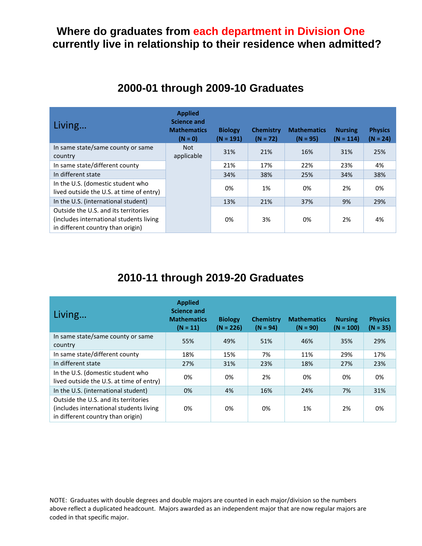#### **Where do graduates from each department in Division One currently live in relationship to their residence when admitted?**

|  |  |  | 2000-01 through 2009-10 Graduates |
|--|--|--|-----------------------------------|
|--|--|--|-----------------------------------|

| Living                                                                                                                | <b>Applied</b><br><b>Science and</b><br><b>Mathematics</b><br>$(N = 0)$ | <b>Biology</b><br>$(N = 191)$ | <b>Chemistry</b><br>$(N = 72)$ | <b>Mathematics</b><br>$(N = 95)$ | <b>Nursing</b><br>$(N = 114)$ | <b>Physics</b><br>$(N = 24)$ |
|-----------------------------------------------------------------------------------------------------------------------|-------------------------------------------------------------------------|-------------------------------|--------------------------------|----------------------------------|-------------------------------|------------------------------|
| In same state/same county or same<br>country                                                                          | <b>Not</b><br>applicable                                                | 31%                           | 21%                            | 16%                              | 31%                           | 25%                          |
| In same state/different county                                                                                        |                                                                         | 21%                           | 17%                            | 22%                              | 23%                           | 4%                           |
| In different state                                                                                                    |                                                                         | 34%                           | 38%                            | 25%                              | 34%                           | 38%                          |
| In the U.S. (domestic student who<br>lived outside the U.S. at time of entry)                                         |                                                                         | 0%                            | 1%                             | 0%                               | 2%                            | 0%                           |
| In the U.S. (international student)                                                                                   |                                                                         | 13%                           | 21%                            | 37%                              | 9%                            | 29%                          |
| Outside the U.S. and its territories<br>(includes international students living)<br>in different country than origin) |                                                                         | 0%                            | 3%                             | 0%                               | 2%                            | 4%                           |

# **2010-11 through 2019-20 Graduates**

| Living                                                                                                                | <b>Applied</b><br><b>Science and</b><br><b>Mathematics</b><br>$(N = 11)$ | <b>Biology</b><br>$(N = 226)$ | <b>Chemistry</b><br>$(N = 94)$ | <b>Mathematics</b><br>$(N = 90)$ | <b>Nursing</b><br>$(N = 100)$ | <b>Physics</b><br>$(N = 35)$ |
|-----------------------------------------------------------------------------------------------------------------------|--------------------------------------------------------------------------|-------------------------------|--------------------------------|----------------------------------|-------------------------------|------------------------------|
| In same state/same county or same<br>country                                                                          | 55%                                                                      | 49%                           | 51%                            | 46%                              | 35%                           | 29%                          |
| In same state/different county                                                                                        | 18%                                                                      | 15%                           | 7%                             | 11%                              | 29%                           | 17%                          |
| In different state                                                                                                    | 27%                                                                      | 31%                           | 23%                            | 18%                              | 27%                           | 23%                          |
| In the U.S. (domestic student who<br>lived outside the U.S. at time of entry)                                         | 0%                                                                       | 0%                            | 2%                             | 0%                               | 0%                            | 0%                           |
| In the U.S. (international student)                                                                                   | 0%                                                                       | 4%                            | 16%                            | 24%                              | 7%                            | 31%                          |
| Outside the U.S. and its territories<br>(includes international students living)<br>in different country than origin) | 0%                                                                       | 0%                            | 0%                             | 1%                               | 2%                            | 0%                           |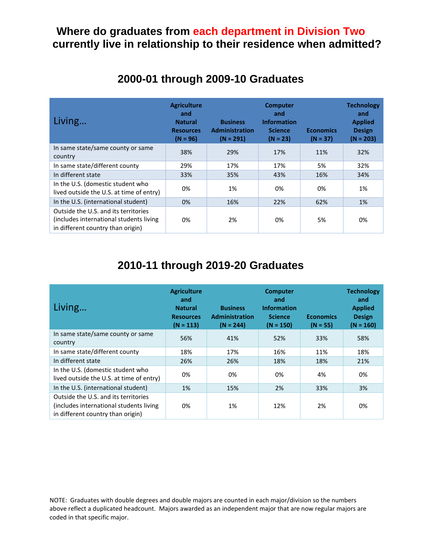### **Where do graduates from each department in Division Two currently live in relationship to their residence when admitted?**

| Living                                                                                                                | <b>Agriculture</b><br>and<br><b>Natural</b><br><b>Resources</b><br>$(N = 96)$ | <b>Business</b><br><b>Administration</b><br>$(N = 291)$ | <b>Computer</b><br>and<br><b>Information</b><br><b>Science</b><br>$(N = 23)$ | <b>Economics</b><br>$(N = 37)$ | <b>Technology</b><br>and<br><b>Applied</b><br><b>Design</b><br>$(N = 203)$ |
|-----------------------------------------------------------------------------------------------------------------------|-------------------------------------------------------------------------------|---------------------------------------------------------|------------------------------------------------------------------------------|--------------------------------|----------------------------------------------------------------------------|
| In same state/same county or same<br>country                                                                          | 38%                                                                           | 29%                                                     | 17%                                                                          | 11%                            | 32%                                                                        |
| In same state/different county                                                                                        | 29%                                                                           | 17%                                                     | 17%                                                                          | 5%                             | 32%                                                                        |
| In different state                                                                                                    | 33%                                                                           | 35%                                                     | 43%                                                                          | 16%                            | 34%                                                                        |
| In the U.S. (domestic student who<br>lived outside the U.S. at time of entry)                                         | 0%                                                                            | 1%                                                      | 0%                                                                           | 0%                             | 1%                                                                         |
| In the U.S. (international student)                                                                                   | 0%                                                                            | 16%                                                     | 22%                                                                          | 62%                            | 1%                                                                         |
| Outside the U.S. and its territories<br>(includes international students living)<br>in different country than origin) | 0%                                                                            | 2%                                                      | 0%                                                                           | 5%                             | 0%                                                                         |

## **2000-01 through 2009-10 Graduates**

# **2010-11 through 2019-20 Graduates**

| Living                                                                                                                | <b>Agriculture</b><br>and<br><b>Natural</b><br><b>Resources</b><br>$(N = 113)$ | <b>Business</b><br><b>Administration</b><br>$(N = 244)$ | <b>Computer</b><br>and<br><b>Information</b><br><b>Science</b><br>$(N = 150)$ | <b>Economics</b><br>$(N = 55)$ | <b>Technology</b><br>and<br><b>Applied</b><br><b>Design</b><br>$(N = 160)$ |
|-----------------------------------------------------------------------------------------------------------------------|--------------------------------------------------------------------------------|---------------------------------------------------------|-------------------------------------------------------------------------------|--------------------------------|----------------------------------------------------------------------------|
| In same state/same county or same<br>country                                                                          | 56%                                                                            | 41%                                                     | 52%                                                                           | 33%                            | 58%                                                                        |
| In same state/different county                                                                                        | 18%                                                                            | 17%                                                     | 16%                                                                           | 11%                            | 18%                                                                        |
| In different state                                                                                                    | 26%                                                                            | 26%                                                     | 18%                                                                           | 18%                            | 21%                                                                        |
| In the U.S. (domestic student who<br>lived outside the U.S. at time of entry)                                         | 0%                                                                             | 0%                                                      | 0%                                                                            | 4%                             | 0%                                                                         |
| In the U.S. (international student)                                                                                   | 1%                                                                             | 15%                                                     | 2%                                                                            | 33%                            | 3%                                                                         |
| Outside the U.S. and its territories<br>(includes international students living)<br>in different country than origin) | 0%                                                                             | 1%                                                      | 12%                                                                           | 2%                             | 0%                                                                         |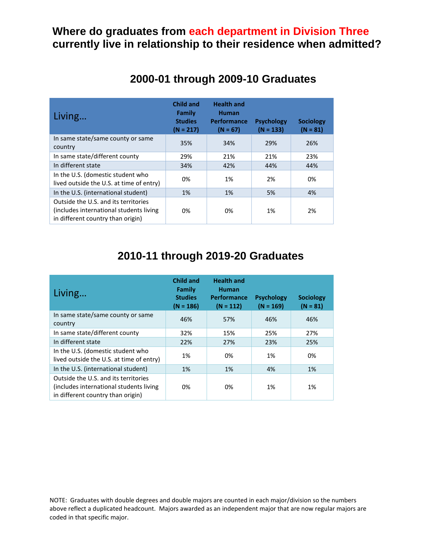## **Where do graduates from each department in Division Three currently live in relationship to their residence when admitted?**

| Living                                                                                                                | <b>Child and</b><br>Family<br><b>Studies</b><br>$(N = 217)$ | <b>Health and</b><br><b>Human</b><br><b>Performance</b><br>$(N = 67)$ | <b>Psychology</b><br>$(N = 133)$ | <b>Sociology</b><br>$(N = 81)$ |
|-----------------------------------------------------------------------------------------------------------------------|-------------------------------------------------------------|-----------------------------------------------------------------------|----------------------------------|--------------------------------|
| In same state/same county or same<br>country                                                                          | 35%                                                         | 34%                                                                   | 29%                              | 26%                            |
| In same state/different county                                                                                        | 29%                                                         | 21%                                                                   | 21%                              | 23%                            |
| In different state                                                                                                    | 34%                                                         | 42%                                                                   | 44%                              | 44%                            |
| In the U.S. (domestic student who<br>lived outside the U.S. at time of entry)                                         | 0%                                                          | 1%                                                                    | 2%                               | 0%                             |
| In the U.S. (international student)                                                                                   | 1%                                                          | 1%                                                                    | 5%                               | 4%                             |
| Outside the U.S. and its territories<br>(includes international students living)<br>in different country than origin) | 0%                                                          | 0%                                                                    | 1%                               | 2%                             |

# **2000-01 through 2009-10 Graduates**

# **2010-11 through 2019-20 Graduates**

| Living                                                                                                               | <b>Child and</b><br>Family<br><b>Studies</b><br>$(N = 186)$ | <b>Health and</b><br><b>Human</b><br><b>Performance</b><br>$(N = 112)$ | <b>Psychology</b><br>$(N = 169)$ | <b>Sociology</b><br>$(N = 81)$ |
|----------------------------------------------------------------------------------------------------------------------|-------------------------------------------------------------|------------------------------------------------------------------------|----------------------------------|--------------------------------|
| In same state/same county or same<br>country                                                                         | 46%                                                         | 57%                                                                    | 46%                              | 46%                            |
| In same state/different county                                                                                       | 32%                                                         | 15%                                                                    | 25%                              | 27%                            |
| In different state                                                                                                   | 22%                                                         | 27%                                                                    | 23%                              | 25%                            |
| In the U.S. (domestic student who<br>lived outside the U.S. at time of entry)                                        | 1%                                                          | በ%                                                                     | 1%                               | 0%                             |
| In the U.S. (international student)                                                                                  | 1%                                                          | 1%                                                                     | 4%                               | 1%                             |
| Outside the U.S. and its territories<br>(includes international students living<br>in different country than origin) | በ%                                                          | 0%                                                                     | 1%                               | 1%                             |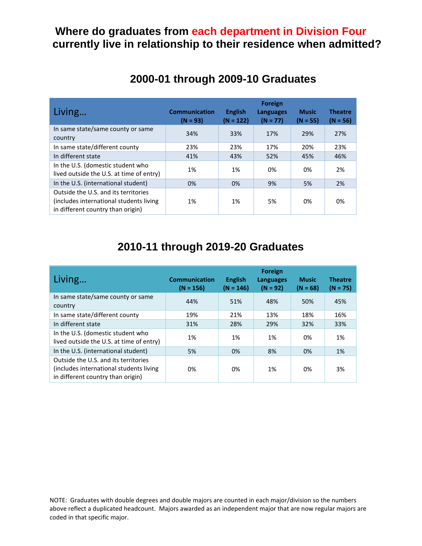#### **Where do graduates from each department in Division Four currently live in relationship to their residence when admitted?**

| Living                                                                                                                | <b>Communication</b><br>$(N = 93)$ | <b>English</b><br>$(N = 122)$ | <b>Foreign</b><br><b>Languages</b><br>$(N = 77)$ | <b>Music</b><br>$(N = 55)$ | <b>Theatre</b><br>$(N = 56)$ |
|-----------------------------------------------------------------------------------------------------------------------|------------------------------------|-------------------------------|--------------------------------------------------|----------------------------|------------------------------|
| In same state/same county or same<br>country                                                                          | 34%                                | 33%                           | 17%                                              | 29%                        | 27%                          |
| In same state/different county                                                                                        | 23%                                | 23%                           | 17%                                              | 20%                        | 23%                          |
| In different state                                                                                                    | 41%                                | 43%                           | 52%                                              | 45%                        | 46%                          |
| In the U.S. (domestic student who<br>lived outside the U.S. at time of entry)                                         | 1%                                 | 1%                            | 0%                                               | በ%                         | 2%                           |
| In the U.S. (international student)                                                                                   | 0%                                 | 0%                            | 9%                                               | 5%                         | 2%                           |
| Outside the U.S. and its territories<br>(includes international students living)<br>in different country than origin) | 1%                                 | 1%                            | 5%                                               | 0%                         | 0%                           |

# **2000-01 through 2009-10 Graduates**

# **2010-11 through 2019-20 Graduates**

| Living                                                                                                                | <b>Communication</b><br>$(N = 156)$ | <b>English</b><br>$(N = 146)$ | <b>Foreign</b><br><b>Languages</b><br>$(N = 92)$ | <b>Music</b><br>$(N = 68)$ | <b>Theatre</b><br>$(N = 75)$ |
|-----------------------------------------------------------------------------------------------------------------------|-------------------------------------|-------------------------------|--------------------------------------------------|----------------------------|------------------------------|
| In same state/same county or same<br>country                                                                          | 44%                                 | 51%                           | 48%                                              | 50%                        | 45%                          |
| In same state/different county                                                                                        | 19%                                 | 21%                           | 13%                                              | 18%                        | 16%                          |
| In different state                                                                                                    | 31%                                 | 28%                           | 29%                                              | 32%                        | 33%                          |
| In the U.S. (domestic student who<br>lived outside the U.S. at time of entry)                                         | 1%                                  | 1%                            | 1%                                               | 0%                         | 1%                           |
| In the U.S. (international student)                                                                                   | 5%                                  | 0%                            | 8%                                               | 0%                         | 1%                           |
| Outside the U.S. and its territories<br>(includes international students living)<br>in different country than origin) | 0%                                  | 0%                            | 1%                                               | 0%                         | 3%                           |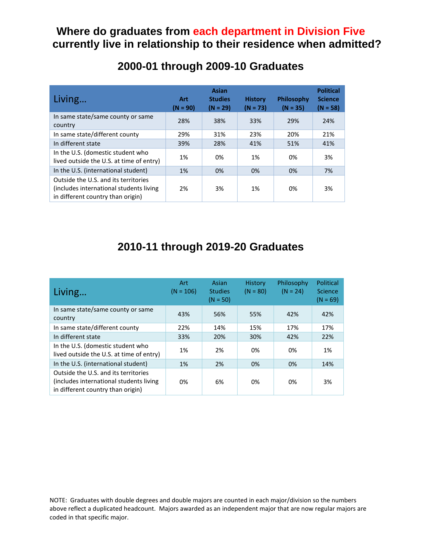## **Where do graduates from each department in Division Five currently live in relationship to their residence when admitted?**

| Living                                                                                                                | <b>Art</b><br>$(N = 90)$ | <b>Asian</b><br><b>Studies</b><br>$(N = 29)$ | <b>History</b><br>$(N = 73)$ | Philosophy<br>$(N = 35)$ | <b>Political</b><br><b>Science</b><br>$(N = 58)$ |
|-----------------------------------------------------------------------------------------------------------------------|--------------------------|----------------------------------------------|------------------------------|--------------------------|--------------------------------------------------|
| In same state/same county or same<br>country                                                                          | 28%                      | 38%                                          | 33%                          | 29%                      | 24%                                              |
| In same state/different county                                                                                        | 29%                      | 31%                                          | 23%                          | 20%                      | 21%                                              |
| In different state                                                                                                    | 39%                      | 28%                                          | 41%                          | 51%                      | 41%                                              |
| In the U.S. (domestic student who<br>lived outside the U.S. at time of entry)                                         | 1%                       | 0%                                           | 1%                           | 0%                       | 3%                                               |
| In the U.S. (international student)                                                                                   | 1%                       | 0%                                           | 0%                           | 0%                       | 7%                                               |
| Outside the U.S. and its territories<br>(includes international students living)<br>in different country than origin) | 2%                       | 3%                                           | 1%                           | 0%                       | 3%                                               |

# **2000-01 through 2009-10 Graduates**

# **2010-11 through 2019-20 Graduates**

| Living                                                                                                                | Art<br>$(N = 106)$ | Asian<br><b>Studies</b><br>$(N = 50)$ | <b>History</b><br>$(N = 80)$ | Philosophy<br>$(N = 24)$ | Political<br>Science<br>$(N = 69)$ |
|-----------------------------------------------------------------------------------------------------------------------|--------------------|---------------------------------------|------------------------------|--------------------------|------------------------------------|
| In same state/same county or same<br>country                                                                          | 43%                | 56%                                   | 55%                          | 42%                      | 42%                                |
| In same state/different county                                                                                        | 22%                | 14%                                   | 15%                          | 17%                      | 17%                                |
| In different state                                                                                                    | 33%                | 20%                                   | 30%                          | 42%                      | 22%                                |
| In the U.S. (domestic student who<br>lived outside the U.S. at time of entry)                                         | 1%                 | 2%                                    | 0%                           | 0%                       | 1%                                 |
| In the U.S. (international student)                                                                                   | 1%                 | 2%                                    | 0%                           | 0%                       | 14%                                |
| Outside the U.S. and its territories<br>(includes international students living)<br>in different country than origin) | 0%                 | 6%                                    | 0%                           | 0%                       | 3%                                 |